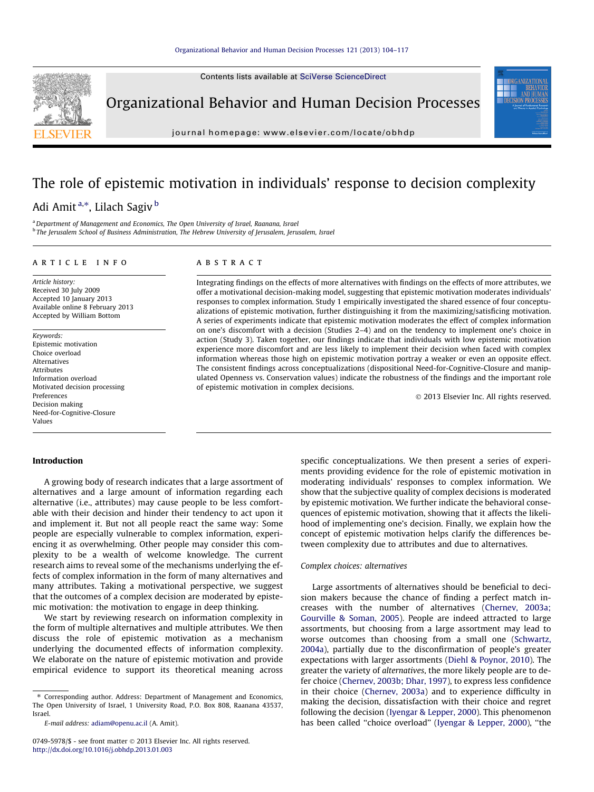Contents lists available at [SciVerse ScienceDirect](http://www.sciencedirect.com/science/journal/07495978)



Organizational Behavior and Human Decision Processes

journal homepage: [www.elsevier.com/locate/obhdp](http://www.elsevier.com/locate/obhdp)

# The role of epistemic motivation in individuals' response to decision complexity

# Adi Amit <sup>a,</sup>\*, Lilach Sagiv <sup>b</sup>

<sup>a</sup> Department of Management and Economics, The Open University of Israel, Raanana, Israel b The Jerusalem School of Business Administration, The Hebrew University of Jerusalem, Jerusalem, Israel

### article info

**ABSTRACT** 

Article history: Received 30 July 2009 Accepted 10 January 2013 Available online 8 February 2013 Accepted by William Bottom

Keywords: Epistemic motivation Choice overload Alternatives Attributes Information overload Motivated decision processing Preferences Decision making Need-for-Cognitive-Closure Values

Integrating findings on the effects of more alternatives with findings on the effects of more attributes, we offer a motivational decision-making model, suggesting that epistemic motivation moderates individuals' responses to complex information. Study 1 empirically investigated the shared essence of four conceptualizations of epistemic motivation, further distinguishing it from the maximizing/satisficing motivation. A series of experiments indicate that epistemic motivation moderates the effect of complex information on one's discomfort with a decision (Studies 2–4) and on the tendency to implement one's choice in action (Study 3). Taken together, our findings indicate that individuals with low epistemic motivation experience more discomfort and are less likely to implement their decision when faced with complex information whereas those high on epistemic motivation portray a weaker or even an opposite effect. The consistent findings across conceptualizations (dispositional Need-for-Cognitive-Closure and manipulated Openness vs. Conservation values) indicate the robustness of the findings and the important role of epistemic motivation in complex decisions.

- 2013 Elsevier Inc. All rights reserved.

### Introduction

A growing body of research indicates that a large assortment of alternatives and a large amount of information regarding each alternative (i.e., attributes) may cause people to be less comfortable with their decision and hinder their tendency to act upon it and implement it. But not all people react the same way: Some people are especially vulnerable to complex information, experiencing it as overwhelming. Other people may consider this complexity to be a wealth of welcome knowledge. The current research aims to reveal some of the mechanisms underlying the effects of complex information in the form of many alternatives and many attributes. Taking a motivational perspective, we suggest that the outcomes of a complex decision are moderated by epistemic motivation: the motivation to engage in deep thinking.

We start by reviewing research on information complexity in the form of multiple alternatives and multiple attributes. We then discuss the role of epistemic motivation as a mechanism underlying the documented effects of information complexity. We elaborate on the nature of epistemic motivation and provide empirical evidence to support its theoretical meaning across

⇑ Corresponding author. Address: Department of Management and Economics, The Open University of Israel, 1 University Road, P.O. Box 808, Raanana 43537, Israel.

specific conceptualizations. We then present a series of experiments providing evidence for the role of epistemic motivation in moderating individuals' responses to complex information. We show that the subjective quality of complex decisions is moderated by epistemic motivation. We further indicate the behavioral consequences of epistemic motivation, showing that it affects the likelihood of implementing one's decision. Finally, we explain how the concept of epistemic motivation helps clarify the differences between complexity due to attributes and due to alternatives.

#### Complex choices: alternatives

Large assortments of alternatives should be beneficial to decision makers because the chance of finding a perfect match increases with the number of alternatives ([Chernev, 2003a;](#page--1-0) [Gourville & Soman, 2005\)](#page--1-0). People are indeed attracted to large assortments, but choosing from a large assortment may lead to worse outcomes than choosing from a small one [\(Schwartz,](#page--1-0) [2004a\)](#page--1-0), partially due to the disconfirmation of people's greater expectations with larger assortments ([Diehl & Poynor, 2010](#page--1-0)). The greater the variety of alternatives, the more likely people are to defer choice [\(Chernev, 2003b; Dhar, 1997](#page--1-0)), to express less confidence in their choice [\(Chernev, 2003a](#page--1-0)) and to experience difficulty in making the decision, dissatisfaction with their choice and regret following the decision ([Iyengar & Lepper, 2000\)](#page--1-0). This phenomenon has been called ''choice overload'' ([Iyengar & Lepper, 2000](#page--1-0)), ''the

E-mail address: [adiam@openu.ac.il](mailto:adiam@openu.ac.il) (A. Amit).

<sup>0749-5978/\$ -</sup> see front matter © 2013 Elsevier Inc. All rights reserved. <http://dx.doi.org/10.1016/j.obhdp.2013.01.003>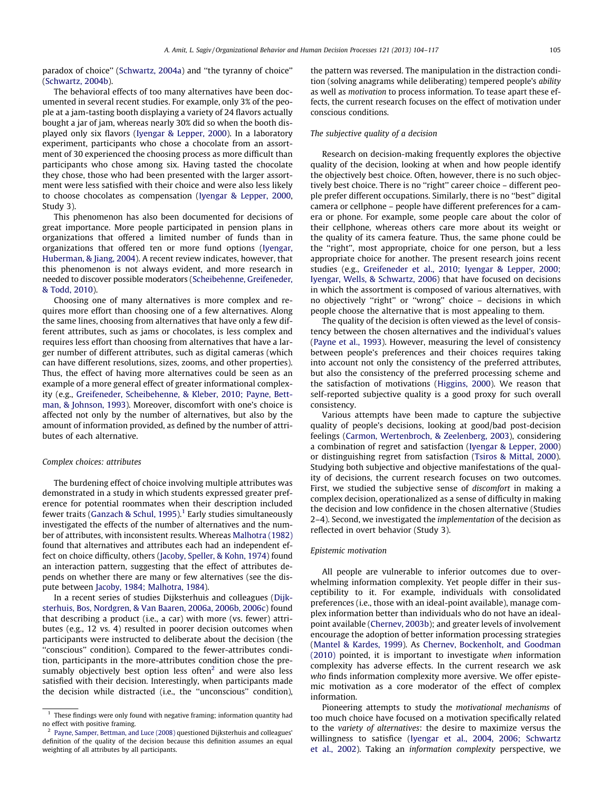paradox of choice'' ([Schwartz, 2004a](#page--1-0)) and ''the tyranny of choice'' ([Schwartz, 2004b\)](#page--1-0).

The behavioral effects of too many alternatives have been documented in several recent studies. For example, only 3% of the people at a jam-tasting booth displaying a variety of 24 flavors actually bought a jar of jam, whereas nearly 30% did so when the booth displayed only six flavors ([Iyengar & Lepper, 2000](#page--1-0)). In a laboratory experiment, participants who chose a chocolate from an assortment of 30 experienced the choosing process as more difficult than participants who chose among six. Having tasted the chocolate they chose, those who had been presented with the larger assortment were less satisfied with their choice and were also less likely to choose chocolates as compensation ([Iyengar & Lepper, 2000,](#page--1-0) Study 3).

This phenomenon has also been documented for decisions of great importance. More people participated in pension plans in organizations that offered a limited number of funds than in organizations that offered ten or more fund options [\(Iyengar,](#page--1-0) [Huberman, & Jiang, 2004\)](#page--1-0). A recent review indicates, however, that this phenomenon is not always evident, and more research in needed to discover possible moderators [\(Scheibehenne, Greifeneder,](#page--1-0) [& Todd, 2010](#page--1-0)).

Choosing one of many alternatives is more complex and requires more effort than choosing one of a few alternatives. Along the same lines, choosing from alternatives that have only a few different attributes, such as jams or chocolates, is less complex and requires less effort than choosing from alternatives that have a larger number of different attributes, such as digital cameras (which can have different resolutions, sizes, zooms, and other properties). Thus, the effect of having more alternatives could be seen as an example of a more general effect of greater informational complexity (e.g., [Greifeneder, Scheibehenne, & Kleber, 2010; Payne, Bett](#page--1-0)[man, & Johnson, 1993](#page--1-0)). Moreover, discomfort with one's choice is affected not only by the number of alternatives, but also by the amount of information provided, as defined by the number of attributes of each alternative.

#### Complex choices: attributes

The burdening effect of choice involving multiple attributes was demonstrated in a study in which students expressed greater preference for potential roommates when their description included fewer traits [\(Ganzach & Schul, 1995](#page--1-0)).<sup>1</sup> Early studies simultaneously investigated the effects of the number of alternatives and the number of attributes, with inconsistent results. Whereas [Malhotra \(1982\)](#page--1-0) found that alternatives and attributes each had an independent effect on choice difficulty, others ([Jacoby, Speller, & Kohn, 1974](#page--1-0)) found an interaction pattern, suggesting that the effect of attributes depends on whether there are many or few alternatives (see the dispute between [Jacoby, 1984; Malhotra, 1984](#page--1-0)).

In a recent series of studies Dijksterhuis and colleagues ([Dijk](#page--1-0)[sterhuis, Bos, Nordgren, & Van Baaren, 2006a, 2006b, 2006c](#page--1-0)) found that describing a product (i.e., a car) with more (vs. fewer) attributes (e.g., 12 vs. 4) resulted in poorer decision outcomes when participants were instructed to deliberate about the decision (the ''conscious'' condition). Compared to the fewer-attributes condition, participants in the more-attributes condition chose the presumably objectively best option less often $2$  and were also less satisfied with their decision. Interestingly, when participants made the decision while distracted (i.e., the ''unconscious'' condition), the pattern was reversed. The manipulation in the distraction condition (solving anagrams while deliberating) tempered people's ability as well as motivation to process information. To tease apart these effects, the current research focuses on the effect of motivation under conscious conditions.

## The subjective quality of a decision

Research on decision-making frequently explores the objective quality of the decision, looking at when and how people identify the objectively best choice. Often, however, there is no such objectively best choice. There is no "right" career choice - different people prefer different occupations. Similarly, there is no ''best'' digital camera or cellphone – people have different preferences for a camera or phone. For example, some people care about the color of their cellphone, whereas others care more about its weight or the quality of its camera feature. Thus, the same phone could be the ''right'', most appropriate, choice for one person, but a less appropriate choice for another. The present research joins recent studies (e.g., [Greifeneder et al., 2010; Iyengar & Lepper, 2000;](#page--1-0) [Iyengar, Wells, & Schwartz, 2006](#page--1-0)) that have focused on decisions in which the assortment is composed of various alternatives, with no objectively ''right'' or ''wrong'' choice – decisions in which people choose the alternative that is most appealing to them.

The quality of the decision is often viewed as the level of consistency between the chosen alternatives and the individual's values ([Payne et al., 1993\)](#page--1-0). However, measuring the level of consistency between people's preferences and their choices requires taking into account not only the consistency of the preferred attributes, but also the consistency of the preferred processing scheme and the satisfaction of motivations ([Higgins, 2000](#page--1-0)). We reason that self-reported subjective quality is a good proxy for such overall consistency.

Various attempts have been made to capture the subjective quality of people's decisions, looking at good/bad post-decision feelings ([Carmon, Wertenbroch, & Zeelenberg, 2003\)](#page--1-0), considering a combination of regret and satisfaction ([Iyengar & Lepper, 2000\)](#page--1-0) or distinguishing regret from satisfaction [\(Tsiros & Mittal, 2000\)](#page--1-0). Studying both subjective and objective manifestations of the quality of decisions, the current research focuses on two outcomes. First, we studied the subjective sense of discomfort in making a complex decision, operationalized as a sense of difficulty in making the decision and low confidence in the chosen alternative (Studies 2–4). Second, we investigated the implementation of the decision as reflected in overt behavior (Study 3).

#### Epistemic motivation

All people are vulnerable to inferior outcomes due to overwhelming information complexity. Yet people differ in their susceptibility to it. For example, individuals with consolidated preferences (i.e., those with an ideal-point available), manage complex information better than individuals who do not have an idealpoint available ([Chernev, 2003b](#page--1-0)); and greater levels of involvement encourage the adoption of better information processing strategies ([Mantel & Kardes, 1999\)](#page--1-0). As [Chernev, Bockenholt, and Goodman](#page--1-0) [\(2010\)](#page--1-0) pointed, it is important to investigate when information complexity has adverse effects. In the current research we ask who finds information complexity more aversive. We offer epistemic motivation as a core moderator of the effect of complex information.

Pioneering attempts to study the motivational mechanisms of too much choice have focused on a motivation specifically related to the variety of alternatives: the desire to maximize versus the willingness to satisfice ([Iyengar et al., 2004, 2006; Schwartz](#page--1-0) [et al., 2002](#page--1-0)). Taking an information complexity perspective, we

 $1$  These findings were only found with negative framing; information quantity had no effect with positive framing.

<sup>2</sup> [Payne, Samper, Bettman, and Luce \(2008\)](#page--1-0) questioned Dijksterhuis and colleagues' definition of the quality of the decision because this definition assumes an equal weighting of all attributes by all participants.